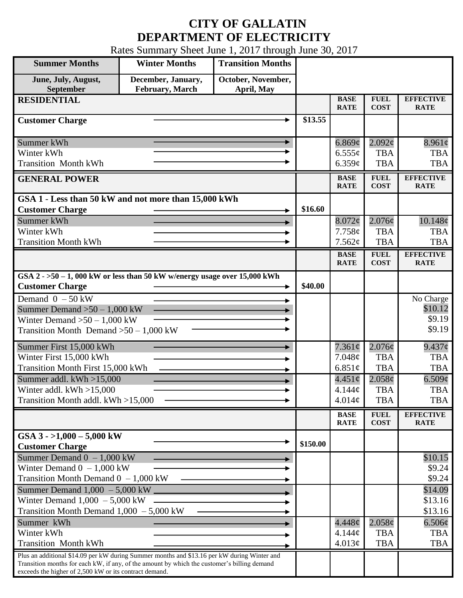## **CITY OF GALLATIN DEPARTMENT OF ELECTRICITY**

Rates Summary Sheet June 1, 2017 through June 30, 2017

| <b>Summer Months</b>                                                                                                                                                                                                                                 | <b>Winter Months</b>                          | <b>Transition Months</b>         |          |                            |                            |                                 |
|------------------------------------------------------------------------------------------------------------------------------------------------------------------------------------------------------------------------------------------------------|-----------------------------------------------|----------------------------------|----------|----------------------------|----------------------------|---------------------------------|
| June, July, August,<br>September                                                                                                                                                                                                                     | December, January,<br><b>February</b> , March | October, November,<br>April, May |          |                            |                            |                                 |
| <b>RESIDENTIAL</b>                                                                                                                                                                                                                                   |                                               |                                  |          | <b>BASE</b><br><b>RATE</b> | <b>FUEL</b><br><b>COST</b> | <b>EFFECTIVE</b><br><b>RATE</b> |
| <b>Customer Charge</b>                                                                                                                                                                                                                               |                                               |                                  | \$13.55  |                            |                            |                                 |
| Summer kWh                                                                                                                                                                                                                                           |                                               |                                  |          | 6.869¢                     | $2.092\epsilon$            | $8.961\phi$                     |
| Winter kWh                                                                                                                                                                                                                                           |                                               |                                  |          | $6.555\sigma$              | <b>TBA</b>                 | <b>TBA</b>                      |
| <b>Transition Month kWh</b>                                                                                                                                                                                                                          |                                               |                                  |          | 6.359¢                     | <b>TBA</b>                 | <b>TBA</b>                      |
| <b>GENERAL POWER</b>                                                                                                                                                                                                                                 |                                               |                                  |          | <b>BASE</b><br><b>RATE</b> | <b>FUEL</b><br><b>COST</b> | <b>EFFECTIVE</b><br><b>RATE</b> |
| GSA 1 - Less than 50 kW and not more than 15,000 kWh                                                                                                                                                                                                 |                                               |                                  |          |                            |                            |                                 |
| <b>Customer Charge</b>                                                                                                                                                                                                                               |                                               |                                  | \$16.60  |                            |                            |                                 |
| Summer kWh                                                                                                                                                                                                                                           |                                               |                                  |          | $8.072\phi$                | $2.076\phi$                | 10.148¢                         |
| Winter kWh                                                                                                                                                                                                                                           |                                               |                                  |          | 7.758c                     | <b>TBA</b>                 | <b>TBA</b>                      |
| <b>Transition Month kWh</b>                                                                                                                                                                                                                          |                                               |                                  |          | 7.562¢                     | <b>TBA</b>                 | <b>TBA</b>                      |
|                                                                                                                                                                                                                                                      |                                               |                                  |          | <b>BASE</b><br><b>RATE</b> | <b>FUEL</b><br><b>COST</b> | <b>EFFECTIVE</b><br><b>RATE</b> |
| GSA $2 - 50 - 1$ , 000 kW or less than 50 kW w/energy usage over 15,000 kWh                                                                                                                                                                          |                                               |                                  |          |                            |                            |                                 |
| <b>Customer Charge</b>                                                                                                                                                                                                                               |                                               |                                  | \$40.00  |                            |                            |                                 |
| Demand $0 - 50$ kW                                                                                                                                                                                                                                   |                                               |                                  |          |                            |                            | No Charge                       |
| Summer Demand $>50-1,000$ kW                                                                                                                                                                                                                         |                                               |                                  |          |                            |                            | \$10.12                         |
| Winter Demand $>50 - 1,000$ kW                                                                                                                                                                                                                       |                                               |                                  |          |                            |                            | \$9.19                          |
| Transition Month Demand $>50-1,000$ kW                                                                                                                                                                                                               |                                               |                                  |          |                            |                            | \$9.19                          |
| Summer First 15,000 kWh                                                                                                                                                                                                                              |                                               |                                  |          | $7.361\phi$                | $2.076\phi$                | $9.437\phi$                     |
| Winter First 15,000 kWh                                                                                                                                                                                                                              |                                               |                                  |          | 7.048¢                     | <b>TBA</b>                 | <b>TBA</b>                      |
| <b>Transition Month First 15,000 kWh</b>                                                                                                                                                                                                             |                                               |                                  |          | 6.851 $\phi$               | <b>TBA</b>                 | <b>TBA</b>                      |
| Summer addl. $kWh > 15,000$                                                                                                                                                                                                                          |                                               |                                  |          | $4.451\circ$               | 2.058¢                     | 6.509¢                          |
| Winter addl. $kWh > 15,000$                                                                                                                                                                                                                          |                                               |                                  |          | 4.144¢                     | <b>TBA</b>                 | <b>TBA</b>                      |
| Transition Month addl. kWh >15,000                                                                                                                                                                                                                   |                                               |                                  |          | 4.014¢                     | <b>TBA</b>                 | <b>TBA</b>                      |
|                                                                                                                                                                                                                                                      |                                               |                                  |          | <b>BASE</b><br><b>RATE</b> | <b>FUEL</b><br><b>COST</b> | <b>EFFECTIVE</b><br><b>RATE</b> |
| GSA $3 - 1,000 - 5,000$ kW                                                                                                                                                                                                                           |                                               |                                  |          |                            |                            |                                 |
| <b>Customer Charge</b>                                                                                                                                                                                                                               |                                               |                                  | \$150.00 |                            |                            |                                 |
| Summer Demand $0 - 1,000$ kW                                                                                                                                                                                                                         |                                               |                                  |          |                            |                            | \$10.15                         |
| Winter Demand $0 - 1,000$ kW                                                                                                                                                                                                                         |                                               |                                  |          |                            |                            | \$9.24                          |
| Transition Month Demand $0 - 1,000$ kW                                                                                                                                                                                                               |                                               |                                  |          |                            |                            | \$9.24                          |
| Summer Demand $1,000 - 5,000$ kW ______                                                                                                                                                                                                              |                                               |                                  |          |                            |                            | \$14.09                         |
| Winter Demand $1,000 - 5,000$ kW                                                                                                                                                                                                                     |                                               |                                  |          |                            |                            | \$13.16                         |
| Transition Month Demand $1,000 - 5,000$ kW                                                                                                                                                                                                           |                                               |                                  |          |                            |                            | \$13.16                         |
| Summer kWh                                                                                                                                                                                                                                           |                                               |                                  |          | $4.448\phi$                | $2.058\phi$                | $6.506\phi$                     |
| Winter kWh                                                                                                                                                                                                                                           |                                               |                                  |          | $4.144\mathcal{C}$         | <b>TBA</b>                 | <b>TBA</b>                      |
| <b>Transition Month kWh</b>                                                                                                                                                                                                                          |                                               |                                  |          | 4.013¢                     | <b>TBA</b>                 | <b>TBA</b>                      |
| Plus an additional \$14.09 per kW during Summer months and \$13.16 per kW during Winter and<br>Transition months for each kW, if any, of the amount by which the customer's billing demand<br>exceeds the higher of 2,500 kW or its contract demand. |                                               |                                  |          |                            |                            |                                 |
|                                                                                                                                                                                                                                                      |                                               |                                  |          |                            |                            |                                 |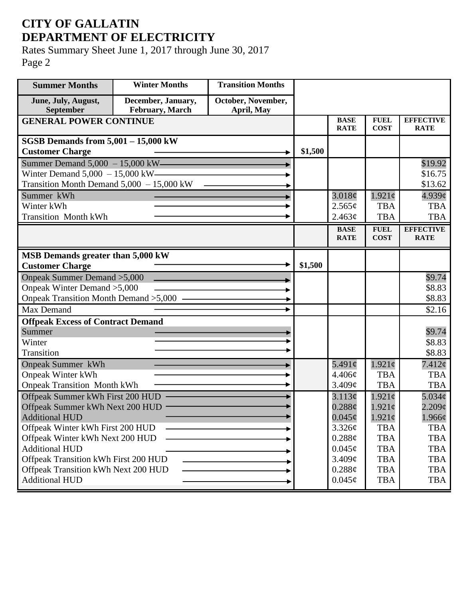## **CITY OF GALLATIN DEPARTMENT OF ELECTRICITY**

Rates Summary Sheet June 1, 2017 through June 30, 2017 Page 2

| <b>Summer Months</b>                        | <b>Winter Months</b>                  | <b>Transition Months</b>         |         |                            |                            |                                 |
|---------------------------------------------|---------------------------------------|----------------------------------|---------|----------------------------|----------------------------|---------------------------------|
| June, July, August,<br>September            | December, January,<br>February, March | October, November,<br>April, May |         |                            |                            |                                 |
| <b>GENERAL POWER CONTINUE</b>               |                                       |                                  |         | <b>BASE</b><br><b>RATE</b> | <b>FUEL</b><br><b>COST</b> | <b>EFFECTIVE</b><br><b>RATE</b> |
| SGSB Demands from $5,001 - 15,000$ kW       |                                       |                                  |         |                            |                            |                                 |
| <b>Customer Charge</b>                      |                                       |                                  | \$1,500 |                            |                            |                                 |
| Summer Demand 5,000 - 15,000 kW-            |                                       |                                  |         |                            |                            | \$19.92                         |
| Winter Demand $5,000 - 15,000$ kW-          |                                       |                                  |         |                            |                            | \$16.75                         |
| Transition Month Demand $5,000 - 15,000$ kW |                                       |                                  |         |                            |                            | \$13.62                         |
| Summer kWh                                  |                                       |                                  |         | 3.018¢                     | $1.921\phi$                | $4.939$ ¢                       |
| Winter kWh                                  |                                       |                                  |         | 2.565¢                     | <b>TBA</b>                 | <b>TBA</b>                      |
| <b>Transition Month kWh</b>                 |                                       |                                  |         | 2.463¢                     | <b>TBA</b>                 | <b>TBA</b>                      |
|                                             |                                       |                                  |         | <b>BASE</b>                | <b>FUEL</b>                | <b>EFFECTIVE</b>                |
|                                             |                                       |                                  |         | <b>RATE</b>                | <b>COST</b>                | <b>RATE</b>                     |
| MSB Demands greater than 5,000 kW           |                                       |                                  |         |                            |                            |                                 |
| <b>Customer Charge</b>                      |                                       |                                  | \$1,500 |                            |                            |                                 |
| Onpeak Summer Demand > 5,000                |                                       |                                  |         |                            |                            | \$9.74                          |
| Onpeak Winter Demand > 5,000                |                                       |                                  |         |                            |                            | \$8.83                          |
| Onpeak Transition Month Demand $>5,000$ –   |                                       |                                  |         |                            |                            | \$8.83                          |
| Max Demand                                  |                                       |                                  |         |                            |                            | \$2.16                          |
| <b>Offpeak Excess of Contract Demand</b>    |                                       |                                  |         |                            |                            |                                 |
| Summer                                      |                                       |                                  |         |                            |                            | \$9.74                          |
| Winter                                      |                                       |                                  |         |                            |                            | \$8.83                          |
| Transition                                  |                                       |                                  |         |                            |                            | \$8.83                          |
| <b>Onpeak Summer kWh</b>                    |                                       |                                  |         | 5.491 $\phi$               | $1.921\phi$                | 7.412¢                          |
| <b>Onpeak Winter kWh</b>                    |                                       |                                  |         | 4.406¢                     | <b>TBA</b>                 | <b>TBA</b>                      |
| <b>Onpeak Transition Month kWh</b>          |                                       |                                  |         | 3.409¢                     | <b>TBA</b>                 | <b>TBA</b>                      |
| Offpeak Summer kWh First 200 HUD            |                                       |                                  |         | 3.113¢                     | $1.921\mathrm{\c{c}}$      | $5.034\mathcal{C}$              |
| Offpeak Summer kWh Next 200 HUD             |                                       |                                  |         | 0.288c                     | 1.921c                     | $2.209\mathcal{C}$              |
| <b>Additional HUD</b>                       |                                       |                                  |         | $0.045\phi$                | $1.921\epsilon$            | $1.966\phi$                     |
| Offpeak Winter kWh First 200 HUD            |                                       |                                  |         | 3.326¢                     | <b>TBA</b>                 | <b>TBA</b>                      |
| Offpeak Winter kWh Next 200 HUD             |                                       |                                  |         | 0.288¢                     | <b>TBA</b>                 | <b>TBA</b>                      |
| <b>Additional HUD</b>                       |                                       |                                  |         | $0.045\phi$                | <b>TBA</b>                 | <b>TBA</b>                      |
| Offpeak Transition kWh First 200 HUD        |                                       |                                  |         | 3.409¢                     | <b>TBA</b>                 | <b>TBA</b>                      |
| Offpeak Transition kWh Next 200 HUD         |                                       |                                  |         | 0.288¢                     | <b>TBA</b>                 | <b>TBA</b>                      |
| <b>Additional HUD</b>                       |                                       |                                  |         | $0.045\phi$                | <b>TBA</b>                 | <b>TBA</b>                      |